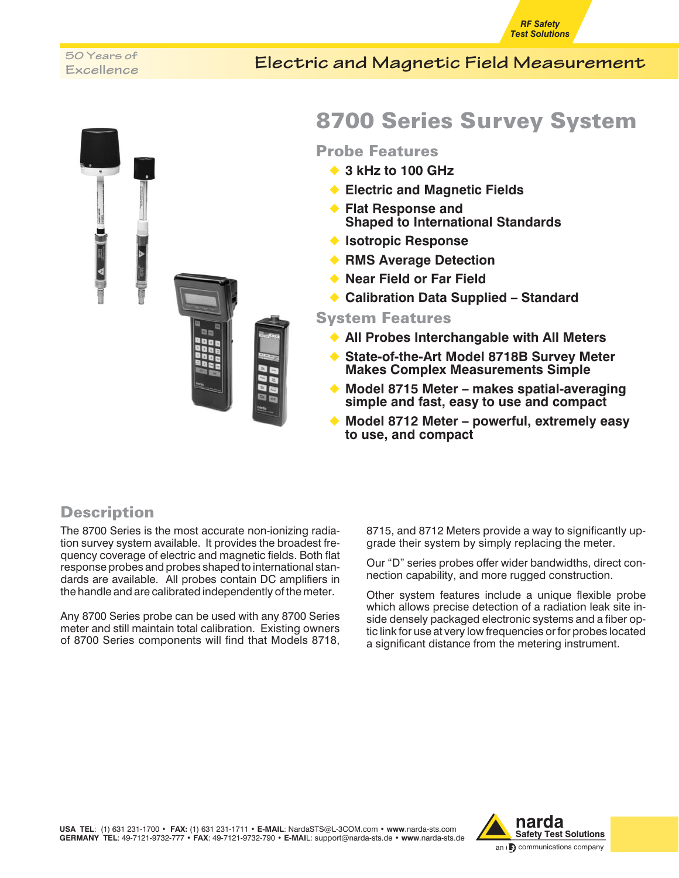#### *RF Safety Test Solutions*

# **Excellence**

### **Electric and Magnetic Field Measurement 50 Years of**



## 8700 Series Survey System

#### Probe Features

- ◆ 3 kHz to 100 GHz
- ◆ **Electric and Magnetic Fields**
- ◆ Flat Response and **Shaped to International Standards**
- ◆ **Isotropic Response**
- ◆ **RMS Average Detection**
- ◆ **Near Field or Far Field**
- ◆ Calibration Data Supplied Standard

#### System Features

- ◆ All Probes Interchangable with All Meters
- ◆ State-of-the-Art Model 8718B Survey Meter **Makes Complex Measurements Simple**
- ◆ **Model 8715 Meter makes spatial-averaging simple and fast, easy to use and compact**
- ◆ **Model 8712 Meter powerful, extremely easy to use, and compact**

### **Description**

The 8700 Series is the most accurate non-ionizing radiation survey system available. It provides the broadest frequency coverage of electric and magnetic fields. Both flat response probes and probes shaped to international standards are available. All probes contain DC amplifiers in the handle and are calibrated independently of the meter.

Any 8700 Series probe can be used with any 8700 Series meter and still maintain total calibration. Existing owners of 8700 Series components will find that Models 8718,

8715, and 8712 Meters provide a way to significantly upgrade their system by simply replacing the meter.

Our "D" series probes offer wider bandwidths, direct connection capability, and more rugged construction.

Other system features include a unique flexible probe which allows precise detection of a radiation leak site inside densely packaged electronic systems and a fiber optic link for use at very low frequencies or for probes located a significant distance from the metering instrument.



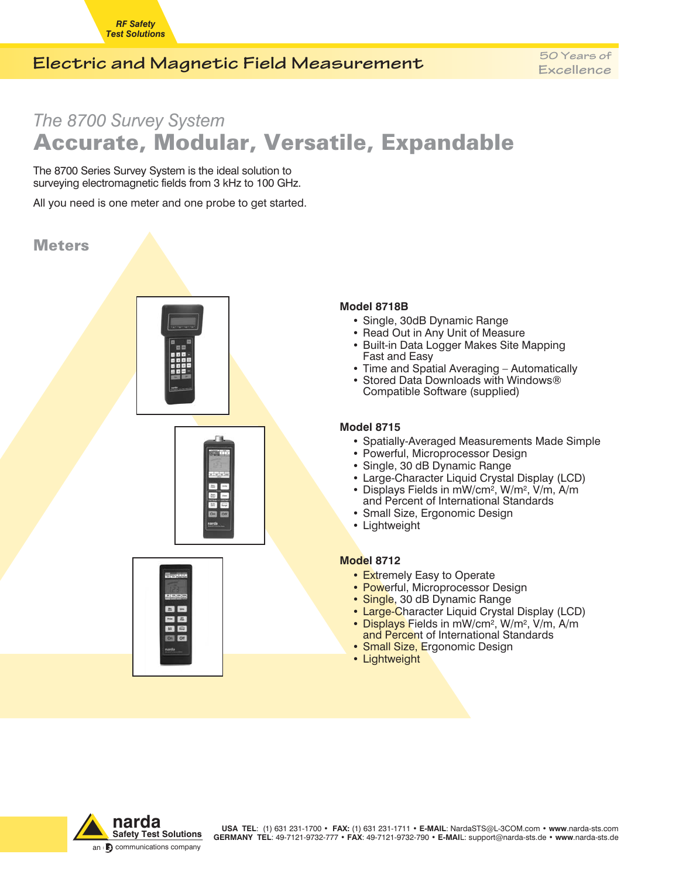### **Electric and Magnetic Field Measurement 50 Years of**

## *The 8700 Survey System* Accurate, Modular, Versatile, Expandable

The 8700 Series Survey System is the ideal solution to surveying electromagnetic fields from 3 kHz to 100 GHz.

All you need is one meter and one probe to get started.

### **Meters**







### **Model 8718B ·**

- Single, 30dB Dynamic Range **·**
- Read Out in Any Unit of Measure
- Built-in Data Logger Makes Site Mapping Fast and Easy
- Time and Spatial Averaging Automatically **·**
- Stored Data Downloads with Windows® Compatible Software (supplied)

### **Model 8715 ·**

- Spatially-Averaged Measurements Made Simple **·**
- Powerful, Microprocessor Design **·**
- Single, 30 dB Dynamic Range **·**
- Large-Character Liquid Crystal Display (LCD) **·**
- Displays Fields in  $mW/cm^2$ , W/m<sup>2</sup>, V/m, A/m
- and Percent of International Standards Small Size, Ergonomic Design **·**
- Lightweight

### **Model 8712 ·**

- Extremely Easy to Operate **·**
- **Powerful, Microprocessor Design**
- Single, 30 dB Dynamic Range **·**
- **Large-Character Liquid Crystal Display (LCD)**
- Displays Fields in mW/cm<sup>2</sup>, W/m<sup>2</sup>, V/m, A/m and Percent of International Standards
- Small Size, Ergonomic Design **·**
- Lightweight



**USA TEL**: (1) 631 231-1700 • **FAX:** (1) 631 231-1711 • **E-MAIL**: NardaSTS@L-3COM.com • **www**.narda-sts.com **GERMANY TEL**: 49-7121-9732-777 • **FAX**: 49-7121-9732-790 • **E-MAI**L: support@narda-sts.de • **www**.narda-sts.de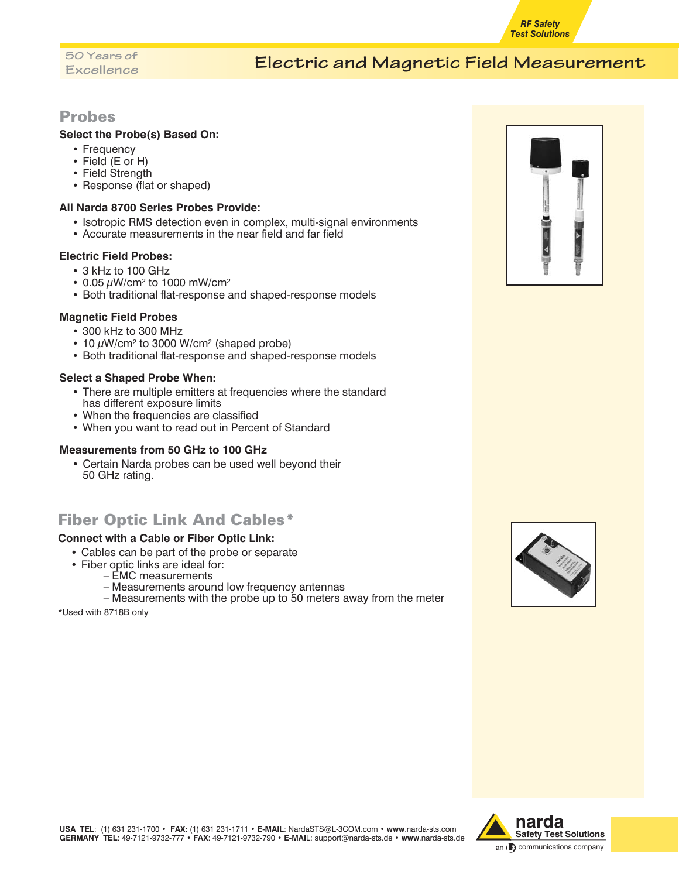## **Excellence**

### **Electric and Magnetic Field Measurement 50 Years of**

#### Probes

### **Select the Probe(s) Based On: ·**

- Frequency **·**
- Field (E or H) **·**
- Field Strength **·**
- Response (flat or shaped)

### **All Narda 8700 Series Probes Provide: ·**

- Isotropic RMS detection even in complex, multi-signal environments
- Accurate measurements in the near field and far field

### **Electric Field Probes: ·**

- 3 kHz to 100 GHz **·**
- 0.05 µW/cm2 to 1000 mW/cm2 **·**
- Both traditional flat-response and shaped-response models

### **Magnetic Field Probes ·**

- 300 kHz to 300 MHz **·**
- 10  $\mu$ W/cm<sup>2</sup> to 3000 W/cm<sup>2</sup> (shaped probe)
- Both traditional flat-response and shaped-response models

### **Select a Shaped Probe When: ·**

- There are multiple emitters at frequencies where the standard has different exposure limits
- When the frequencies are classified **·**
- When you want to read out in Percent of Standard

### **Measurements from 50 GHz to 100 GHz ·**

 Certain Narda probes can be used well beyond their 50 GHz rating.

### Fiber Optic Link And Cables\*

### **Connect with a Cable or Fiber Optic Link: ·**

- Cables can be part of the probe or separate **·**
- Fiber optic links are ideal for:
	- EMC measurements
		- Measurements around low frequency antennas
	- Measurements with the probe up to 50 meters away from the meter

\*Used with 8718B only